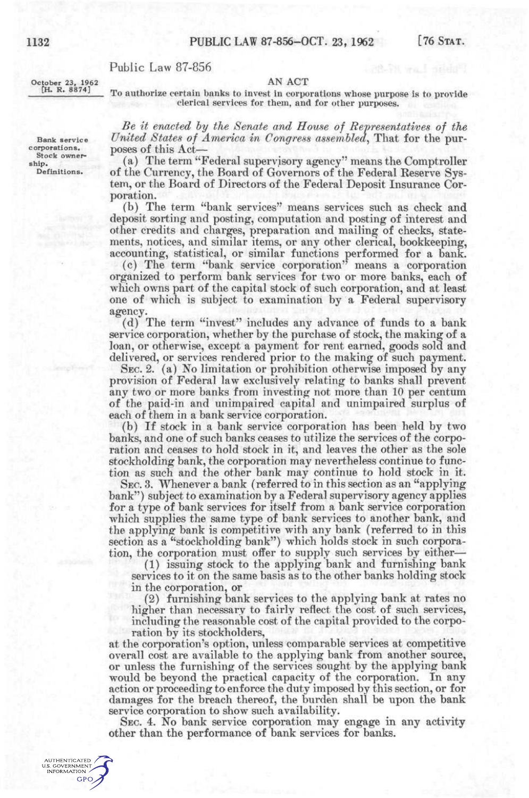AN ACT

## Public Law 87-856

October 23, 1962 [H. R. 8874]

To authorize certain banks to invest in corporations whose purpose is to provide clerical services for them, and for other purposes.

*Be it enacted hy the Senate and House of Representatives of the*  United States of America in Congress assembled, That for the purposes of this Act-

(a) The term "Federal supervisory agency" means the Comptroller of the Currency, the Board of Governors of the Federal Reserve System, or the Board of Directors of the Federal Deposit Insurance Corporation.

(b) The term "bank services" means services such as check and deposit sorting and posting, computation and posting of interest and other credits and charges, preparation and mailing of checks, statements, notices, and similar items, or any other clerical, bookkeeping, accounting, statistical, or similar functions performed for a bank.

(c) The term "bank service corporation" means a corporation organized to perform bank services for two or more banks, each of which owns part of the capital stock of such corporation, and at least one of which is subject to examination by a Federal supervisory agency.

(d) The term "invest" includes any advance of funds to a bank service corporation, whether by the purchase of stock, the making of a loan, or otherwise, except a payment for rent earned, goods sold and delivered, or services rendered prior to the making of such payment.

SEC. 2. (a) No limitation or prohibition otherwise imposed by any provision of Federal law exclusively relating to banks shall prevent any two or more banks from investing not more than 10 per centum of the paid-in and unimpaired capital and unimpaired surplus of each of them in a bank service corporation.

(b) If stock in a bank service corporation has been held by two banks, and one of such banks ceases to utilize the services of the corporation and ceases to hold stock in it, and leaves the other as the sole stockholding bank, the corporation may nevertheless continue to function as such and the other bank may continue to hold stock in it.

SEC. 3. Whenever a bank (referred to in this section as an "applying bank") subject to examination by a Federal supervisory agency applies for a type of bank services for itself from a bank service corporation which supplies the same type of bank services to another bank, and the applying bank is competitive with any bank (referred to in this section as a "stockholding bank") which holds stock in such corporation, the corporation must offer to supply such services by either—

(1) issuing stock to the applying bank and furnishing bank services to it on the same basis as to the other banks holding stock in the corporation, or

(2) furnishing bank services to the applying bank at rates no higher than necessary to fairly reflect the cost of such services, including the reasonable cost of the capital provided to the corpo-

ration by its stockholders, at the corporation's option, unless comparable services at competitive overall cost are available to the applying bank from another source, or unless the furnishing of the services sought by the applying bank would be beyond the practical capacity of the corporation. In any action or proceeding to enforce the duty imposed by this section, or for damages for the breach thereof, the burden shall be upon the bank service corporation to show such availability.

SEC. 4. No bank service corporation may engage in any activity other than the performance of bank services for banks.

AUTHENTICATED<br>U.S. GOVERNMENT<br>INFORMATION **GPO** 

Bank service corporations. Stock ownership. Definitions.